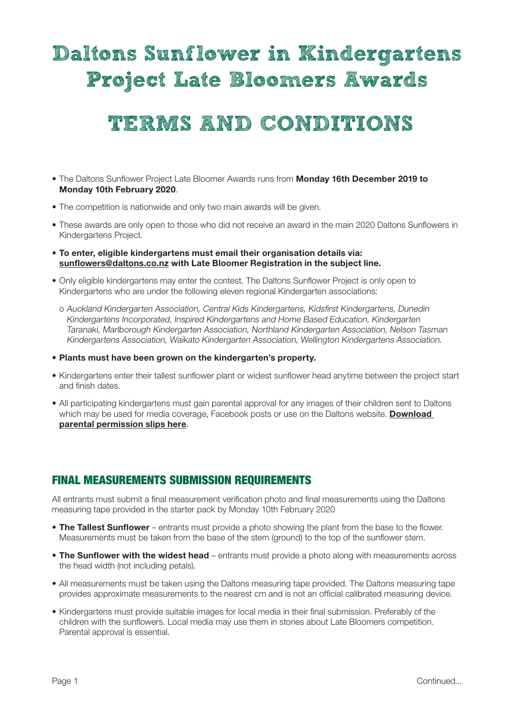# Daltons Sunflower in Kindergartens Project Late Bloomers Awards

## TERMS AND CONDITIONS

- The Daltons Sunflower Project Late Bloomer Awards runs from Monday 16th December 2019 to Monday 10th February 2020.
- The competition is nationwide and only two main awards will be given.
- These awards are only open to those who did not receive an award in the main 2020 Daltons Sunflowers in Kindergartens Project.
- To enter, eligible kindergartens must email their organisation details via: sunflowers@daltons.co.nz with Late Bloomer Registration in the subject line.
- Only eligible kindergartens may enter the contest. The Daltons Sunflower Project is only open to Kindergartens who are under the following eleven regional Kindergarten associations:
	- o Auckland Kindergarten Association, Central Kids Kindergartens, Kidsfirst Kindergartens, Dunedin Kindergartens Incorporated, Inspired Kindergartens and Home Based Education, Kindergarten Taranaki, Marlborough Kindergarten Association, Northland Kindergarten Association, Nelson Tasman Kindergartens Association, Waikato Kindergarten Association, Wellington Kindergartens Association.
- Plants must have been grown on the kindergarten's property.
- Kindergartens enter their tallest sunflower plant or widest sunflower head anytime between the project start and finish dates.
- All participating kindergartens must gain parental approval for any images of their children sent to Daltons which may be used for media coverage, Facebook posts or use on the Daltons website. Download parental permission slips here.

## FINAL MEASUREMENTS SUBMISSION REQUIREMENTS

All entrants must submit a final measurement verification photo and final measurements using the Daltons measuring tape provided in the starter pack by Monday 10th February 2020

- The Tallest Sunflower entrants must provide a photo showing the plant from the base to the flower. Measurements must be taken from the base of the stem (ground) to the top of the sunflower stem.
- The Sunflower with the widest head entrants must provide a photo along with measurements across the head width (not including petals).
- All measurements must be taken using the Daltons measuring tape provided. The Daltons measuring tape provides approximate measurements to the nearest cm and is not an official calibrated measuring device.
- Kindergartens must provide suitable images for local media in their final submission. Preferably of the children with the sunflowers. Local media may use them in stories about Late Bloomers competition. Parental approval is essential.